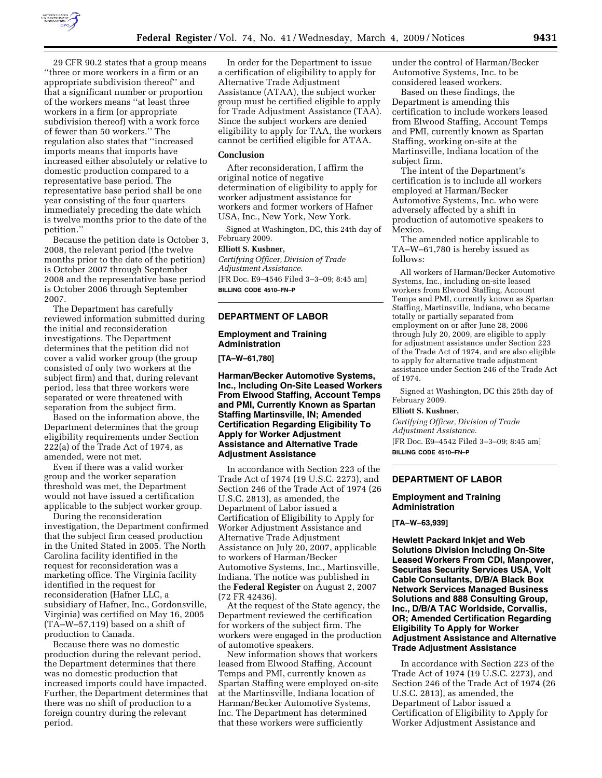

29 CFR 90.2 states that a group means ''three or more workers in a firm or an appropriate subdivision thereof'' and that a significant number or proportion of the workers means ''at least three workers in a firm (or appropriate subdivision thereof) with a work force of fewer than 50 workers.'' The regulation also states that ''increased imports means that imports have increased either absolutely or relative to domestic production compared to a representative base period. The representative base period shall be one year consisting of the four quarters immediately preceding the date which is twelve months prior to the date of the petition.''

Because the petition date is October 3, 2008, the relevant period (the twelve months prior to the date of the petition) is October 2007 through September 2008 and the representative base period is October 2006 through September 2007.

The Department has carefully reviewed information submitted during the initial and reconsideration investigations. The Department determines that the petition did not cover a valid worker group (the group consisted of only two workers at the subject firm) and that, during relevant period, less that three workers were separated or were threatened with separation from the subject firm.

Based on the information above, the Department determines that the group eligibility requirements under Section 222(a) of the Trade Act of 1974, as amended, were not met.

Even if there was a valid worker group and the worker separation threshold was met, the Department would not have issued a certification applicable to the subject worker group.

During the reconsideration investigation, the Department confirmed that the subject firm ceased production in the United Stated in 2005. The North Carolina facility identified in the request for reconsideration was a marketing office. The Virginia facility identified in the request for reconsideration (Hafner LLC, a subsidiary of Hafner, Inc., Gordonsville, Virginia) was certified on May 16, 2005 (TA–W–57,119) based on a shift of production to Canada.

Because there was no domestic production during the relevant period, the Department determines that there was no domestic production that increased imports could have impacted. Further, the Department determines that there was no shift of production to a foreign country during the relevant period.

In order for the Department to issue a certification of eligibility to apply for Alternative Trade Adjustment Assistance (ATAA), the subject worker group must be certified eligible to apply for Trade Adjustment Assistance (TAA). Since the subject workers are denied eligibility to apply for TAA, the workers cannot be certified eligible for ATAA.

#### **Conclusion**

After reconsideration, I affirm the original notice of negative determination of eligibility to apply for worker adjustment assistance for workers and former workers of Hafner USA, Inc., New York, New York.

Signed at Washington, DC, this 24th day of February 2009.

## **Elliott S. Kushner,**

*Certifying Officer, Division of Trade Adjustment Assistance.*  [FR Doc. E9–4546 Filed 3–3–09; 8:45 am]

**BILLING CODE 4510–FN–P** 

#### **DEPARTMENT OF LABOR**

# **Employment and Training Administration**

**[TA–W–61,780]** 

**Harman/Becker Automotive Systems, Inc., Including On-Site Leased Workers From Elwood Staffing, Account Temps and PMI, Currently Known as Spartan Staffing Martinsville, IN; Amended Certification Regarding Eligibility To Apply for Worker Adjustment Assistance and Alternative Trade Adjustment Assistance** 

In accordance with Section 223 of the Trade Act of 1974 (19 U.S.C. 2273), and Section 246 of the Trade Act of 1974 (26 U.S.C. 2813), as amended, the Department of Labor issued a Certification of Eligibility to Apply for Worker Adjustment Assistance and Alternative Trade Adjustment Assistance on July 20, 2007, applicable to workers of Harman/Becker Automotive Systems, Inc., Martinsville, Indiana. The notice was published in the **Federal Register** on August 2, 2007 (72 FR 42436).

At the request of the State agency, the Department reviewed the certification for workers of the subject firm. The workers were engaged in the production of automotive speakers.

New information shows that workers leased from Elwood Staffing, Account Temps and PMI, currently known as Spartan Staffing were employed on-site at the Martinsville, Indiana location of Harman/Becker Automotive Systems, Inc. The Department has determined that these workers were sufficiently

under the control of Harman/Becker Automotive Systems, Inc. to be considered leased workers.

Based on these findings, the Department is amending this certification to include workers leased from Elwood Staffing, Account Temps and PMI, currently known as Spartan Staffing, working on-site at the Martinsville, Indiana location of the subject firm.

The intent of the Department's certification is to include all workers employed at Harman/Becker Automotive Systems, Inc. who were adversely affected by a shift in production of automotive speakers to Mexico.

The amended notice applicable to TA–W–61,780 is hereby issued as follows:

All workers of Harman/Becker Automotive Systems, Inc., including on-site leased workers from Elwood Staffing, Account Temps and PMI, currently known as Spartan Staffing, Martinsville, Indiana, who became totally or partially separated from employment on or after June 28, 2006 through July 20, 2009, are eligible to apply for adjustment assistance under Section 223 of the Trade Act of 1974, and are also eligible to apply for alternative trade adjustment assistance under Section 246 of the Trade Act of 1974.

Signed at Washington, DC this 25th day of February 2009.

## **Elliott S. Kushner,**

*Certifying Officer, Division of Trade Adjustment Assistance.* 

[FR Doc. E9–4542 Filed 3–3–09; 8:45 am] **BILLING CODE 4510–FN–P** 

# **DEPARTMENT OF LABOR**

#### **Employment and Training Administration**

## **[TA–W–63,939]**

**Hewlett Packard Inkjet and Web Solutions Division Including On-Site Leased Workers From CDI, Manpower, Securitas Security Services USA, Volt Cable Consultants, D/B/A Black Box Network Services Managed Business Solutions and 888 Consulting Group, Inc., D/B/A TAC Worldside, Corvallis, OR; Amended Certification Regarding Eligibility To Apply for Worker Adjustment Assistance and Alternative Trade Adjustment Assistance** 

In accordance with Section 223 of the Trade Act of 1974 (19 U.S.C. 2273), and Section 246 of the Trade Act of 1974 (26 U.S.C. 2813), as amended, the Department of Labor issued a Certification of Eligibility to Apply for Worker Adjustment Assistance and